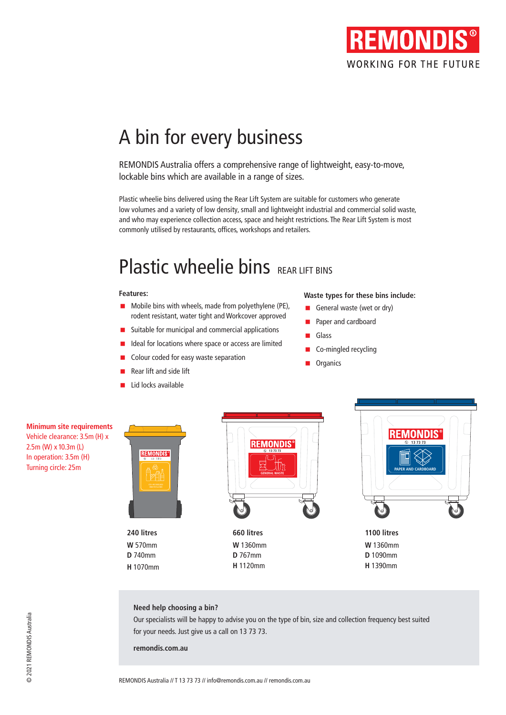

# A bin for every business

REMONDIS Australia offers a comprehensive range of lightweight, easy-to-move, lockable bins which are available in a range of sizes.

**Plastic Old bins** commonly utilised by restaurants, offices, workshops and retailers.Plastic wheelie bins delivered using the Rear Lift System are suitable for customers who generate low volumes and a variety of low density, small and lightweight industrial and commercial solid waste, and who may experience collection access, space and height restrictions. The Rear Lift System is most

## Plastic wheelie bins REAR LIFT BINS

### **Features:**

- **Mobile bins with wheels, made from polyethylene (PE),** rodent resistant, water tight and Workcover approved
- $\blacksquare$  Suitable for municipal and commercial applications
- I Ideal for locations where space or access are limited
- Colour coded for easy waste separation
- Rear lift and side lift
- Lid locks available

### **Waste types for these bins include:**

- General waste (wet or dry)
- Paper and cardboard
- Glass
- Co-mingled recycling
- **Organics**

**Minimum site requirements** Vehicle clearance: 3.5m (H) x 2.5m (W) x 10.3m (L) In operation: 3.5m (H) Turning circle: 25m



**240 litres W** 570mm **D** 740mm **H** 1070mm



**660 litres W** 1360mm **D** 767mm **H** 1120mm



**1100 litres W** 1360mm **D** 1090mm **H** 1390mm

### **Need help choosing a bin?**

Our specialists will be happy to advise you on the type of bin, size and collection frequency best suited for your needs. Just give us a call on 13 73 73.

**remondis.com.au**